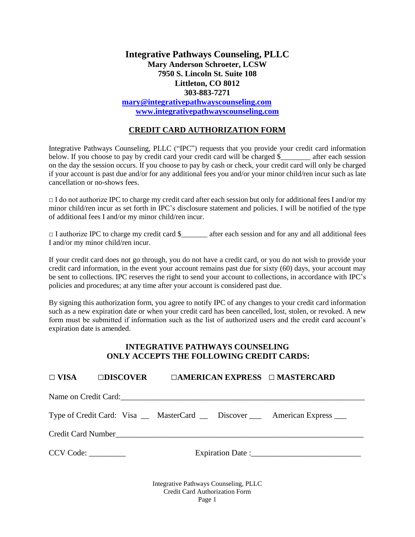## **Integrative Pathways Counseling, PLLC Mary Anderson Schroeter, LCSW 7950 S. Lincoln St. Suite 108 Littleton, CO 8012 303-883-7271**

**[mary@integrativepathwayscounseling.com](mailto:mary@integrativepathwayscounseling.com) [www.integrativepathwayscounseling.com](http://www.integrativepathwayscounseling.com/)**

## **CREDIT CARD AUTHORIZATION FORM**

Integrative Pathways Counseling, PLLC ("IPC") requests that you provide your credit card information below. If you choose to pay by credit card your credit card will be charged \$\_\_\_\_\_\_\_\_ after each session on the day the session occurs. If you choose to pay by cash or check, your credit card will only be charged if your account is past due and/or for any additional fees you and/or your minor child/ren incur such as late cancellation or no-shows fees.

 $\Box$  I do not authorize IPC to charge my credit card after each session but only for additional fees I and/or my minor child/ren incur as set forth in IPC's disclosure statement and policies. I will be notified of the type of additional fees I and/or my minor child/ren incur.

□ I authorize IPC to charge my credit card \$\_\_\_\_\_\_\_\_ after each session and for any and all additional fees I and/or my minor child/ren incur.

If your credit card does not go through, you do not have a credit card, or you do not wish to provide your credit card information, in the event your account remains past due for sixty (60) days, your account may be sent to collections. IPC reserves the right to send your account to collections, in accordance with IPC's policies and procedures; at any time after your account is considered past due.

By signing this authorization form, you agree to notify IPC of any changes to your credit card information such as a new expiration date or when your credit card has been cancelled, lost, stolen, or revoked. A new form must be submitted if information such as the list of authorized users and the credit card account's expiration date is amended.

## **INTEGRATIVE PATHWAYS COUNSELING ONLY ACCEPTS THE FOLLOWING CREDIT CARDS:**

|           |  |                                                                                |  | $\square$ VISA $\square$ DISCOVER $\square$ AMERICAN EXPRESS $\square$ MASTERCARD |
|-----------|--|--------------------------------------------------------------------------------|--|-----------------------------------------------------------------------------------|
|           |  |                                                                                |  |                                                                                   |
|           |  |                                                                                |  | Type of Credit Card: Visa __ MasterCard __ Discover ___ American Express ___      |
|           |  |                                                                                |  |                                                                                   |
| CCV Code: |  |                                                                                |  |                                                                                   |
|           |  | Integrative Pathways Counseling, PLLC<br><b>Credit Card Authorization Form</b> |  |                                                                                   |